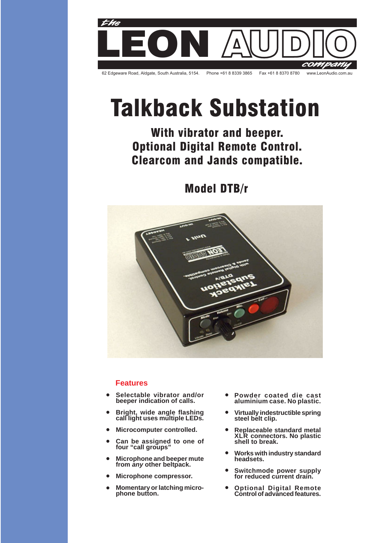

# **Talkback Substation**

With vibrator and beeper. Optional Digital Remote Control. **Clearcom and Jands compatible.** 

**Model DTB/r** 



# **Features**

- **Selectable vibrator and/or beeper indication of calls.**  $\bullet$
- **Bright, wide angle flashing call light uses multiple LEDs.**  $\bullet$
- **Microcomputer controlled.**  $\bullet$
- **Can be assigned to one of four "call groups"**  $\bullet$
- **Microphone and beeper mute from any other beltpack.**  $\bullet$
- **Microphone compressor.**  $\bullet$
- **Momentary or latching microphone button.**  $\bullet$
- **Powder coated die cast aluminium case. No plastic.**  $\bullet$
- **Virtually indestructible spring steel belt clip.**  $\bullet$
- **Replaceable standard metal XLR connectors. No plastic shell to break.**  $\bullet$
- **Works with industry standard headsets.**  $\bullet$
- **Switchmode power supply for reduced current drain.**  $\bullet$
- **Optional Digital Remote Control of advanced features.**  $\bullet$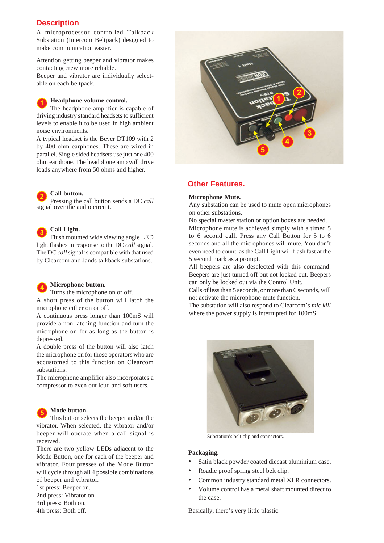# **Description**

A microprocessor controlled Talkback Substation (Intercom Beltpack) designed to make communication easier.

Attention getting beeper and vibrator makes contacting crew more reliable.

Beeper and vibrator are individually selectable on each beltpack.

# **Headphone volume control.**

**1** The headphone amplifier is capable of driving industry standard headsets to sufficient levels to enable it to be used in high ambient noise environments.

A typical headset is the Beyer DT109 with 2 by 400 ohm earphones. These are wired in parallel. Single sided headsets use just one 400 ohm earphone. The headphone amp will drive loads anywhere from 50 ohms and higher.

#### **Call button. 2**

Pressing the call button sends a DC *call* signal over the audio circuit.

#### **3 Call Light.**

**4**

Flush mounted wide viewing angle LED light flashes in response to the DC *call* signal. The DC *call* signal is compatible with that used by Clearcom and Jands talkback substations.

# **Microphone button.**

Turns the microphone on or off.

A short press of the button will latch the microphone either on or off.

A continuous press longer than 100mS will provide a non-latching function and turn the microphone on for as long as the button is depressed.

A double press of the button will also latch the microphone on for those operators who are accustomed to this function on Clearcom substations.

The microphone amplifier also incorporates a compressor to even out loud and soft users.

#### **5 Mode button.**

This button selects the beeper and/or the vibrator. When selected, the vibrator and/or beeper will operate when a call signal is received.

There are two yellow LEDs adjacent to the Mode Button, one for each of the beeper and vibrator. Four presses of the Mode Button will cycle through all 4 possible combinations of beeper and vibrator.

1st press: Beeper on.

2nd press: Vibrator on.

3rd press: Both on.

4th press: Both off.



# **Other Features.**

# **Microphone Mute.**

Any substation can be used to mute open microphones on other substations.

No special master station or option boxes are needed. Microphone mute is achieved simply with a timed 5 to 6 second call. Press any Call Button for 5 to 6 seconds and all the microphones will mute. You don't even need to count, as the Call Light will flash fast at the 5 second mark as a prompt.

All beepers are also deselected with this command. Beepers are just turned off but not locked out. Beepers can only be locked out via the Control Unit.

Calls of less than 5 seconds, or more than 6 seconds, will not activate the microphone mute function.

The substation will also respond to Clearcom's *mic kill* where the power supply is interrupted for 100mS.



Substation's belt clip and connectors.

# **Packaging.**

- Satin black powder coated diecast aluminium case.
- Roadie proof spring steel belt clip.
- Common industry standard metal XLR connectors.
- Volume control has a metal shaft mounted direct to the case.

Basically, there's very little plastic.